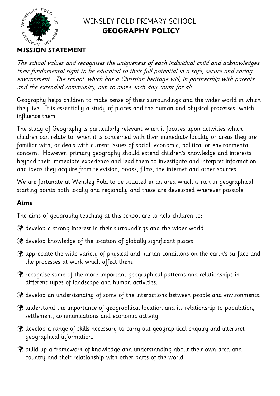

# WENSLEY FOLD PRIMARY SCHOOL **GEOGRAPHY POLICY**

The school values and recognises the uniqueness of each individual child and acknowledges their fundamental right to be educated to their full potential in a safe, secure and caring environment. The school, which has a Christian heritage will, in partnership with parents and the extended community, aim to make each day count for all.

Geography helps children to make sense of their surroundings and the wider world in which they live. It is essentially a study of places and the human and physical processes, which influence them.

The study of Geography is particularly relevant when it focuses upon activities which children can relate to, when it is concerned with their immediate locality or areas they are familiar with, or deals with current issues of social, economic, political or environmental concern. However, primary geography should extend children's knowledge and interests beyond their immediate experience and lead them to investigate and interpret information and ideas they acquire from television, books, films, the internet and other sources.

We are fortunate at Wensley Fold to be situated in an area which is rich in geographical starting points both locally and regionally and these are developed wherever possible.

# **Aims**

The aims of geography teaching at this school are to help children to:

- develop a strong interest in their surroundings and the wider world
- develop knowledge of the location of globally significant places
- appreciate the wide variety of physical and human conditions on the earth's surface and the processes at work which affect them.
- $\circledast$  recognise some of the more important geographical patterns and relationships in different types of landscape and human activities.
- develop an understanding of some of the interactions between people and environments.
- understand the importance of geographical location and its relationship to population, settlement, communications and economic activity.
- $\Theta$  develop a range of skills necessary to carry out geographical enquiry and interpret geographical information.
- $\circledast$  build up a framework of knowledge and understanding about their own area and country and their relationship with other parts of the world.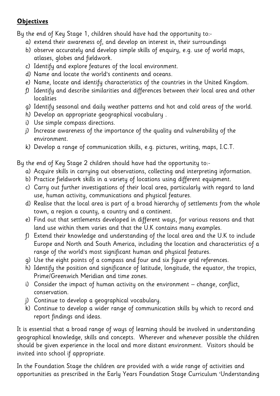# **Objectives**

By the end of Key Stage 1, children should have had the opportunity to:-

- a) extend their awareness of, and develop an interest in, their surroundings
- b) observe accurately and develop simple skills of enquiry, e.g. use of world maps, atlases, globes and fieldwork.
- c) Identify and explore features of the local environment.
- d) Name and locate the world's continents and oceans.
- e) Name, locate and identify characteristics of the countries in the United Kingdom.
- f) Identify and describe similarities and differences between their local area and other localities
- g) Identify seasonal and daily weather patterns and hot and cold areas of the world.
- h) Develop an appropriate geographical vocabulary .
- i) Use simple compass directions.
- j) Increase awareness of the importance of the quality and vulnerability of the environment.
- k) Develop a range of communication skills, e.g. pictures, writing, maps, I.C.T.

By the end of Key Stage 2 children should have had the opportunity to:-

- a) Acquire skills in carrying out observations, collecting and interpreting information.
- b) Practice fieldwork skills in a variety of locations using different equipment.
- c) Carry out further investigations of their local area, particularly with regard to land use, human activity, communications and physical features.
- d) Realise that the local area is part of a broad hierarchy of settlements from the whole town, a region a county, a country and a continent.
- e) Find out that settlements developed in different ways, for various reasons and that land use within them varies and that the U.K contains many examples.
- f) Extend their knowledge and understanding of the local area and the U.K to include Europe and North and South America, including the location and characteristics of a range of the world's most significant human and physical features.
- g) Use the eight points of a compass and four and six figure grid references.
- h) Identify the position and significance of latitude, longitude, the equator, the tropics, Prime/Greenwich Meridian and time zones.
- i) Consider the impact of human activity on the environment change, conflict, conservation.
- j) Continue to develop a geographical vocabulary.
- k) Continue to develop a wider range of communication skills by which to record and report findings and ideas.

It is essential that a broad range of ways of learning should be involved in understanding geographical knowledge, skills and concepts. Wherever and whenever possible the children should be given experience in the local and more distant environment. Visitors should be invited into school if appropriate.

In the Foundation Stage the children are provided with a wide range of activities and opportunities as prescribed in the Early Years Foundation Stage Curriculum 'Understanding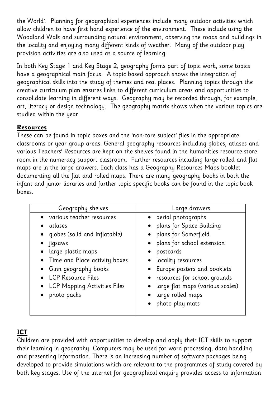the World'. Planning for geographical experiences include many outdoor activities which allow children to have first hand experience of the environment. These include using the Woodland Walk and surrounding natural environment, observing the roads and buildings in the locality and enjoying many different kinds of weather. Many of the outdoor play provision activities are also used as a source of learning.

In both Key Stage 1 and Key Stage 2, geography forms part of topic work, some topics have a geographical main focus. A topic based approach shows the integration of geographical skills into the study of themes and real places. Planning topics through the creative curriculum plan ensures links to different curriculum areas and opportunities to consolidate learning in different ways. Geography may be recorded through, for example, art, literacy or design technology. The geography matrix shows when the various topics are studied within the year

### **Resources**

These can be found in topic boxes and the 'non-core subject' files in the appropriate classrooms or year group areas. General geography resources including globes, atlases and various Teachers' Resources are kept on the shelves found in the humanities resource store room in the numeracy support classroom. Further resources including large rolled and flat maps are in the large drawers. Each class has a Geography Resources Maps booklet documenting all the flat and rolled maps. There are many geography books in both the infant and junior libraries and further topic specific books can be found in the topic book boxes.

| Geography shelves                                                                                                                                                                                                                          | Large drawers                                                                                                                                                                                                                                                                                          |
|--------------------------------------------------------------------------------------------------------------------------------------------------------------------------------------------------------------------------------------------|--------------------------------------------------------------------------------------------------------------------------------------------------------------------------------------------------------------------------------------------------------------------------------------------------------|
| various teacher resources<br>atlases<br>globes (solid and inflatable)<br>• jigsaws<br>large plastic maps<br>Time and Place activity boxes<br>Ginn geography books<br>• LCP Resource Files<br>• LCP Mapping Activities Files<br>photo packs | • aerial photographs<br>• plans for Space Building<br>• plans for Somerfield<br>• plans for school extension<br>postcards<br>• locality resources<br>• Europe posters and booklets<br>• resources for school grounds<br>· large flat maps (various scales)<br>• large rolled maps<br>• photo play mats |

# **ICT**

Children are provided with opportunities to develop and apply their ICT skills to support their learning in geography. Computers may be used for word processing, data handling and presenting information. There is an increasing number of software packages being developed to provide simulations which are relevant to the programmes of study covered by both key stages. Use of the internet for geographical enquiry provides access to information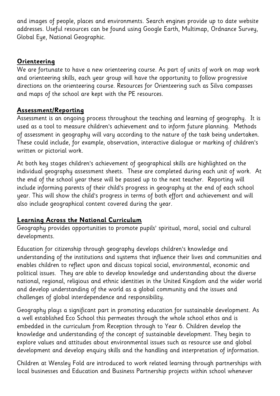and images of people, places and environments. Search engines provide up to date website addresses. Useful resources can be found using Google Earth, Multimap, Ordnance Survey, Global Eye, National Geographic.

### **Orienteering**

We are fortunate to have a new orienteering course. As part of units of work on map work and orienteering skills, each year group will have the opportunity to follow progressive directions on the orienteering course. Resources for Orienteering such as Silva compasses and maps of the school are kept with the PE resources.

## **Assessment/Reporting**

Assessment is an ongoing process throughout the teaching and learning of geography. It is used as a tool to measure children's achievement and to inform future planning. Methods of assessment in geography will vary according to the nature of the task being undertaken. These could include, for example, observation, interactive dialogue or marking of children's written or pictorial work.

At both key stages children's achievement of geographical skills are highlighted on the individual geography assessment sheets. These are completed during each unit of work. At the end of the school year these will be passed up to the next teacher. Reporting will include informing parents of their child's progress in geography at the end of each school year. This will show the child's progress in terms of both effort and achievement and will also include geographical content covered during the year.

## **Learning Across the National Curriculum**

Geography provides opportunities to promote pupils' spiritual, moral, social and cultural developments.

Education for citizenship through geography develops children's knowledge and understanding of the institutions and systems that influence their lives and communities and enables children to reflect upon and discuss topical social, environmental, economic and political issues. They are able to develop knowledge and understanding about the diverse national, regional, religious and ethnic identities in the United Kingdom and the wider world and develop understanding of the world as a global community and the issues and challenges of global interdependence and responsibility.

Geography plays a significant part in promoting education for sustainable development. As a well established Eco School this permeates through the whole school ethos and is embedded in the curriculum from Reception through to Year 6. Children develop the knowledge and understanding of the concept of sustainable development. They begin to explore values and attitudes about environmental issues such as resource use and global development and develop enquiry skills and the handling and interpretation of information.

Children at Wensley Fold are introduced to work related learning through partnerships with local businesses and Education and Business Partnership projects within school whenever